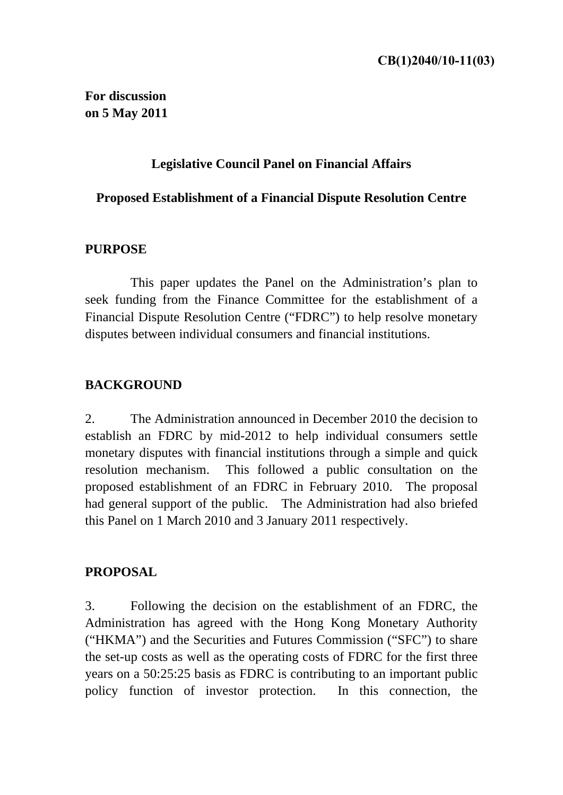**For discussion on 5 May 2011** 

# **Legislative Council Panel on Financial Affairs**

## **Proposed Establishment of a Financial Dispute Resolution Centre**

## **PURPOSE**

 This paper updates the Panel on the Administration's plan to seek funding from the Finance Committee for the establishment of a Financial Dispute Resolution Centre ("FDRC") to help resolve monetary disputes between individual consumers and financial institutions.

# **BACKGROUND**

2. The Administration announced in December 2010 the decision to establish an FDRC by mid-2012 to help individual consumers settle monetary disputes with financial institutions through a simple and quick resolution mechanism. This followed a public consultation on the proposed establishment of an FDRC in February 2010. The proposal had general support of the public. The Administration had also briefed this Panel on 1 March 2010 and 3 January 2011 respectively.

## **PROPOSAL**

3. Following the decision on the establishment of an FDRC, the Administration has agreed with the Hong Kong Monetary Authority ("HKMA") and the Securities and Futures Commission ("SFC") to share the set-up costs as well as the operating costs of FDRC for the first three years on a 50:25:25 basis as FDRC is contributing to an important public policy function of investor protection. In this connection, the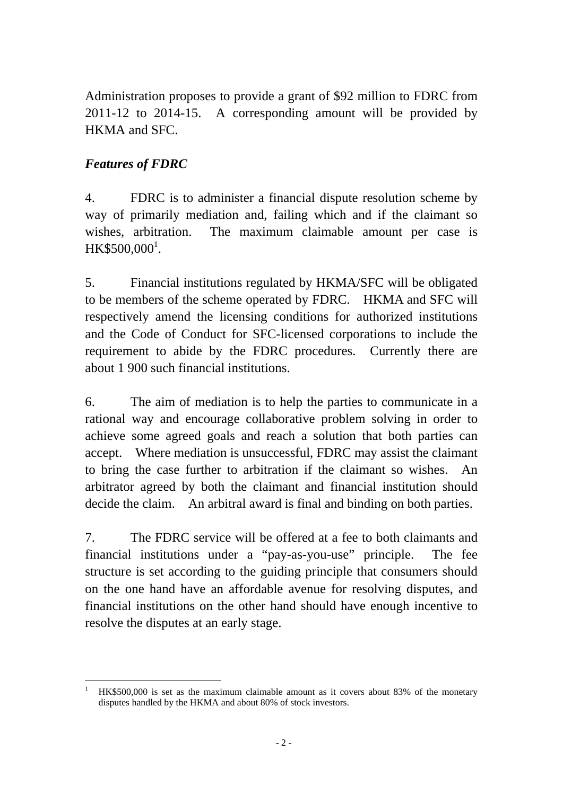Administration proposes to provide a grant of \$92 million to FDRC from 2011-12 to 2014-15. A corresponding amount will be provided by HKMA and SFC.

# *Features of FDRC*

4. FDRC is to administer a financial dispute resolution scheme by way of primarily mediation and, failing which and if the claimant so wishes, arbitration. The maximum claimable amount per case is HK\$500,000<sup>1</sup>.

5. Financial institutions regulated by HKMA/SFC will be obligated to be members of the scheme operated by FDRC. HKMA and SFC will respectively amend the licensing conditions for authorized institutions and the Code of Conduct for SFC-licensed corporations to include the requirement to abide by the FDRC procedures. Currently there are about 1 900 such financial institutions.

6. The aim of mediation is to help the parties to communicate in a rational way and encourage collaborative problem solving in order to achieve some agreed goals and reach a solution that both parties can accept. Where mediation is unsuccessful, FDRC may assist the claimant to bring the case further to arbitration if the claimant so wishes. An arbitrator agreed by both the claimant and financial institution should decide the claim. An arbitral award is final and binding on both parties.

7. The FDRC service will be offered at a fee to both claimants and financial institutions under a "pay-as-you-use" principle. The fee structure is set according to the guiding principle that consumers should on the one hand have an affordable avenue for resolving disputes, and financial institutions on the other hand should have enough incentive to resolve the disputes at an early stage.

 1 HK\$500,000 is set as the maximum claimable amount as it covers about 83% of the monetary disputes handled by the HKMA and about 80% of stock investors.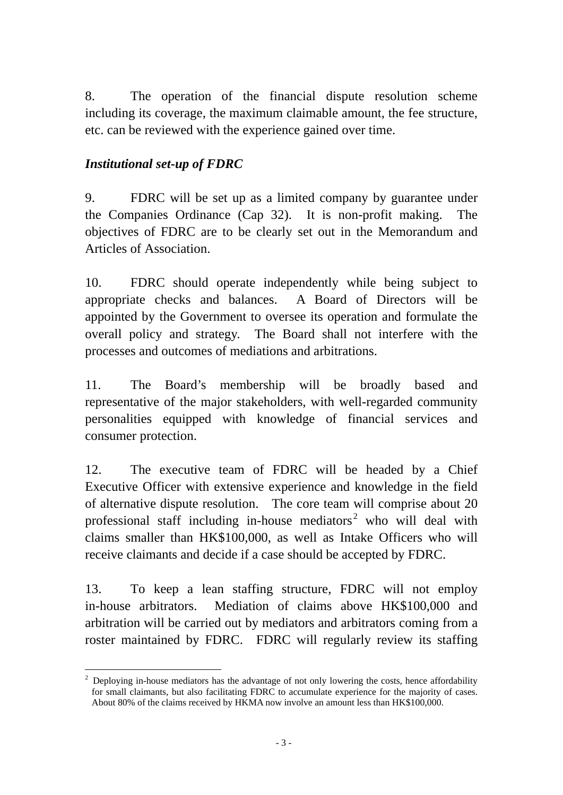8. The operation of the financial dispute resolution scheme including its coverage, the maximum claimable amount, the fee structure, etc. can be reviewed with the experience gained over time.

# *Institutional set-up of FDRC*

9. FDRC will be set up as a limited company by guarantee under the Companies Ordinance (Cap 32). It is non-profit making. The objectives of FDRC are to be clearly set out in the Memorandum and Articles of Association.

10. FDRC should operate independently while being subject to appropriate checks and balances. A Board of Directors will be appointed by the Government to oversee its operation and formulate the overall policy and strategy. The Board shall not interfere with the processes and outcomes of mediations and arbitrations.

11. The Board's membership will be broadly based and representative of the major stakeholders, with well-regarded community personalities equipped with knowledge of financial services and consumer protection.

12. The executive team of FDRC will be headed by a Chief Executive Officer with extensive experience and knowledge in the field of alternative dispute resolution. The core team will comprise about 20 professional staff including in-house mediators<sup>2</sup> who will deal with claims smaller than HK\$100,000, as well as Intake Officers who will receive claimants and decide if a case should be accepted by FDRC.

13. To keep a lean staffing structure, FDRC will not employ in-house arbitrators. Mediation of claims above HK\$100,000 and arbitration will be carried out by mediators and arbitrators coming from a roster maintained by FDRC. FDRC will regularly review its staffing

  $2$  Deploying in-house mediators has the advantage of not only lowering the costs, hence affordability for small claimants, but also facilitating FDRC to accumulate experience for the majority of cases. About 80% of the claims received by HKMA now involve an amount less than HK\$100,000.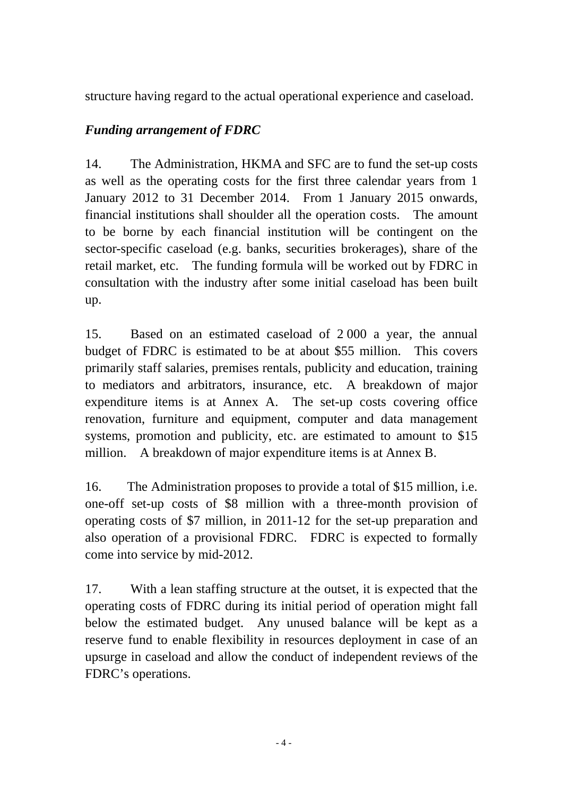structure having regard to the actual operational experience and caseload.

# *Funding arrangement of FDRC*

14. The Administration, HKMA and SFC are to fund the set-up costs as well as the operating costs for the first three calendar years from 1 January 2012 to 31 December 2014. From 1 January 2015 onwards, financial institutions shall shoulder all the operation costs. The amount to be borne by each financial institution will be contingent on the sector-specific caseload (e.g. banks, securities brokerages), share of the retail market, etc. The funding formula will be worked out by FDRC in consultation with the industry after some initial caseload has been built up.

15. Based on an estimated caseload of 2 000 a year, the annual budget of FDRC is estimated to be at about \$55 million. This covers primarily staff salaries, premises rentals, publicity and education, training to mediators and arbitrators, insurance, etc. A breakdown of major expenditure items is at Annex A. The set-up costs covering office renovation, furniture and equipment, computer and data management systems, promotion and publicity, etc. are estimated to amount to \$15 million. A breakdown of major expenditure items is at Annex B.

16. The Administration proposes to provide a total of \$15 million, i.e. one-off set-up costs of \$8 million with a three-month provision of operating costs of \$7 million, in 2011-12 for the set-up preparation and also operation of a provisional FDRC. FDRC is expected to formally come into service by mid-2012.

17. With a lean staffing structure at the outset, it is expected that the operating costs of FDRC during its initial period of operation might fall below the estimated budget. Any unused balance will be kept as a reserve fund to enable flexibility in resources deployment in case of an upsurge in caseload and allow the conduct of independent reviews of the FDRC's operations.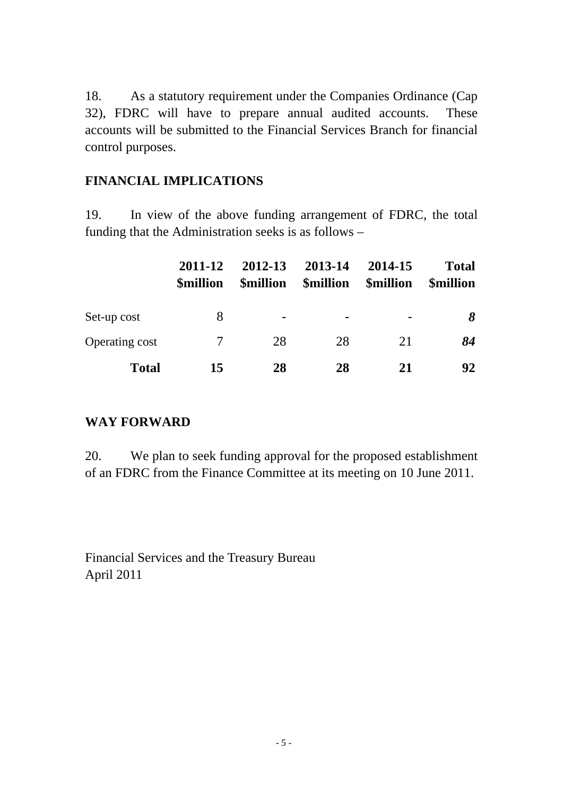18. As a statutory requirement under the Companies Ordinance (Cap 32), FDRC will have to prepare annual audited accounts. These accounts will be submitted to the Financial Services Branch for financial control purposes.

## **FINANCIAL IMPLICATIONS**

19. In view of the above funding arrangement of FDRC, the total funding that the Administration seeks is as follows –

|                | 2011-12<br><b>Smillion</b> | 2012-13<br><b><i><u>Smillion</u></i></b> | 2013-14<br><b>\$million</b> | 2014-15<br><b>\$million</b> | <b>Total</b><br><b><i><u>Smillion</u></i></b> |
|----------------|----------------------------|------------------------------------------|-----------------------------|-----------------------------|-----------------------------------------------|
| Set-up cost    | 8                          |                                          |                             |                             | 8                                             |
| Operating cost | 7                          | 28                                       | 28                          | 21                          | 84                                            |
| <b>Total</b>   | 15                         | 28                                       | 28                          | 21                          | 92                                            |

## **WAY FORWARD**

20. We plan to seek funding approval for the proposed establishment of an FDRC from the Finance Committee at its meeting on 10 June 2011.

Financial Services and the Treasury Bureau April 2011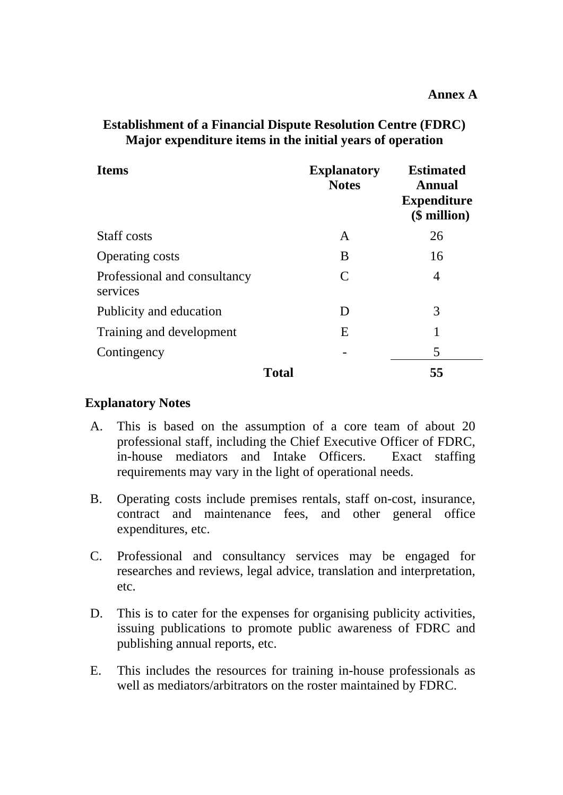| <b>Items</b>                             | <b>Explanatory</b><br><b>Notes</b> | <b>Estimated</b><br>Annual<br><b>Expenditure</b><br>$$$ million) |
|------------------------------------------|------------------------------------|------------------------------------------------------------------|
| <b>Staff costs</b>                       | A                                  | 26                                                               |
| <b>Operating costs</b>                   | B                                  | 16                                                               |
| Professional and consultancy<br>services | C                                  | 4                                                                |
| Publicity and education                  | D                                  | 3                                                                |
| Training and development                 | E                                  | 1                                                                |
| Contingency                              |                                    | 5                                                                |
| <b>Total</b>                             | 55                                 |                                                                  |

### **Establishment of a Financial Dispute Resolution Centre (FDRC) Major expenditure items in the initial years of operation**

### **Explanatory Notes**

- A. This is based on the assumption of a core team of about 20 professional staff, including the Chief Executive Officer of FDRC, in-house mediators and Intake Officers. Exact staffing requirements may vary in the light of operational needs.
- B. Operating costs include premises rentals, staff on-cost, insurance, contract and maintenance fees, and other general office expenditures, etc.
- C. Professional and consultancy services may be engaged for researches and reviews, legal advice, translation and interpretation, etc.
- D. This is to cater for the expenses for organising publicity activities, issuing publications to promote public awareness of FDRC and publishing annual reports, etc.
- E. This includes the resources for training in-house professionals as well as mediators/arbitrators on the roster maintained by FDRC.